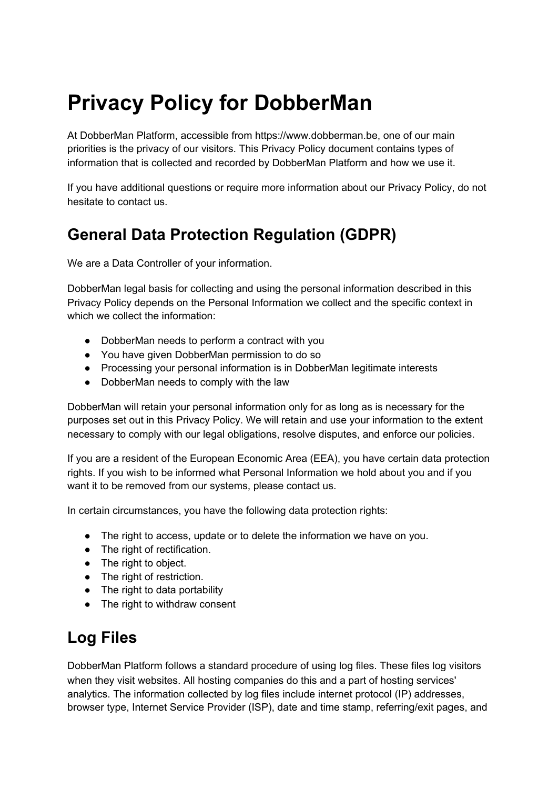# **Privacy Policy for DobberMan**

At DobberMan Platform, accessible from https://www.dobberman.be, one of our main priorities is the privacy of our visitors. This Privacy Policy document contains types of information that is collected and recorded by DobberMan Platform and how we use it.

If you have additional questions or require more information about our Privacy Policy, do not hesitate to contact us.

## **General Data Protection Regulation (GDPR)**

We are a Data Controller of your information.

DobberMan legal basis for collecting and using the personal information described in this Privacy Policy depends on the Personal Information we collect and the specific context in which we collect the information:

- DobberMan needs to perform a contract with you
- You have given DobberMan permission to do so
- Processing your personal information is in DobberMan legitimate interests
- DobberMan needs to comply with the law

DobberMan will retain your personal information only for as long as is necessary for the purposes set out in this Privacy Policy. We will retain and use your information to the extent necessary to comply with our legal obligations, resolve disputes, and enforce our policies.

If you are a resident of the European Economic Area (EEA), you have certain data protection rights. If you wish to be informed what Personal Information we hold about you and if you want it to be removed from our systems, please contact us.

In certain circumstances, you have the following data protection rights:

- The right to access, update or to delete the information we have on you.
- The right of rectification.
- The right to object.
- The right of restriction.
- The right to data portability
- The right to withdraw consent

#### **Log Files**

DobberMan Platform follows a standard procedure of using log files. These files log visitors when they visit websites. All hosting companies do this and a part of hosting services' analytics. The information collected by log files include internet protocol (IP) addresses, browser type, Internet Service Provider (ISP), date and time stamp, referring/exit pages, and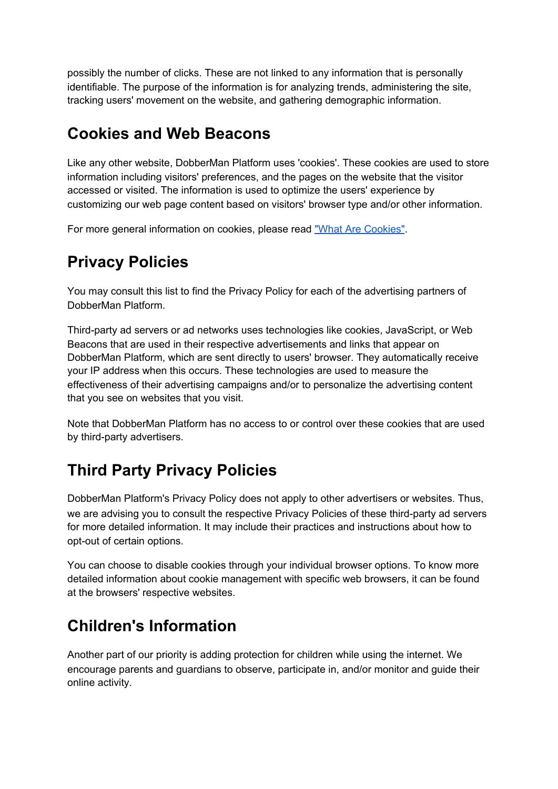possibly the number of clicks. These are not linked to any information that is personally identifiable. The purpose of the information is for analyzing trends, administering the site, tracking users' movement on the website, and gathering demographic information.

## **Cookies and Web Beacons**

Like any other website, DobberMan Platform uses 'cookies'. These cookies are used to store information including visitors' preferences, and the pages on the website that the visitor accessed or visited. The information is used to optimize the users' experience by customizing our web page content based on visitors' browser type and/or other information.

For more general information on cookies, please rea[d](https://www.cookieconsent.com/what-are-cookies/) "What Are [Cookies"](https://www.cookieconsent.com/what-are-cookies/).

# **Privacy Policies**

You may consult this list to find the Privacy Policy for each of the advertising partners of DobberMan Platform.

Third-party ad servers or ad networks uses technologies like cookies, JavaScript, or Web Beacons that are used in their respective advertisements and links that appear on DobberMan Platform, which are sent directly to users' browser. They automatically receive your IP address when this occurs. These technologies are used to measure the effectiveness of their advertising campaigns and/or to personalize the advertising content that you see on websites that you visit.

Note that DobberMan Platform has no access to or control over these cookies that are used by third-party advertisers.

## **Third Party Privacy Policies**

DobberMan Platform's Privacy Policy does not apply to other advertisers or websites. Thus, we are advising you to consult the respective Privacy Policies of these third-party ad servers for more detailed information. It may include their practices and instructions about how to opt-out of certain options.

You can choose to disable cookies through your individual browser options. To know more detailed information about cookie management with specific web browsers, it can be found at the browsers' respective websites.

## **Children's Information**

Another part of our priority is adding protection for children while using the internet. We encourage parents and guardians to observe, participate in, and/or monitor and guide their online activity.